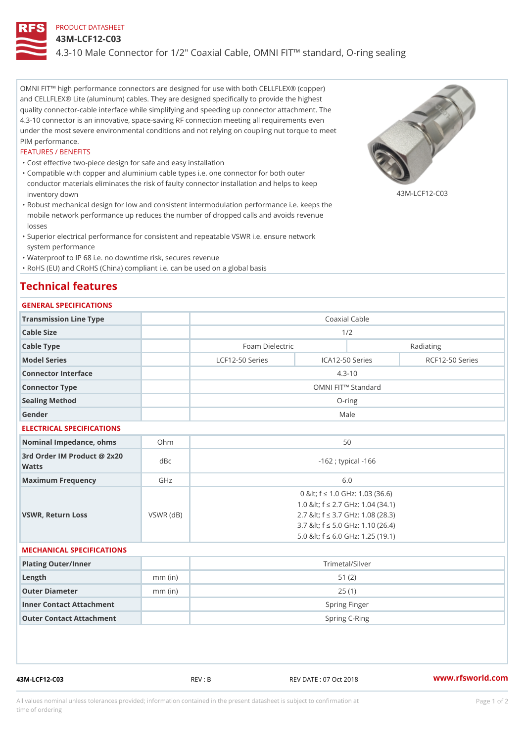# PRODUCT DATASHEET

#### 43M-LCF12-C03

4.3-10 Male Connector for 1/2" Coaxial Cable, OMNI FIT!" standard, O-1

OMNI FIT!" high performance connectors are designed for use with both CELLFLEX® (copper) and CELLFLEX® Lite (aluminum) cables. They are designed specifically to provide the highest quality connector-cable interface while simplifying and speeding up connector attachment. The 4.3-10 connector is an innovative, space-saving RF connection meeting all requirements even under the most severe environmental conditions and not relying on coupling nut torque to meet PIM performance.

#### FEATURES / BENEFITS

"Cost effective two-piece design for safe and easy installation

- Compatible with copper and aluminium cable types i.e. one connector for both outer " conductor materials eliminates the risk of faulty connector installation and helps to keep inventory down 43M-LCF12-C03
- Robust mechanical design for low and consistent intermodulation performance i.e. keeps the " mobile network performance up reduces the number of dropped calls and avoids revenue losses
- Superior electrical performance for consistent and repeatable VSWR i.e. ensure network " system performance
- "Waterproof to IP 68 i.e. no downtime risk, secures revenue

"RoHS (EU) and CRoHS (China) compliant i.e. can be used on a global basis

# Technical features

### GENERAL SPECIFICATIONS

| Transmission Line Type                      |           |                         |                   | Coaxial Cable |                                       |                 |  |  |
|---------------------------------------------|-----------|-------------------------|-------------------|---------------|---------------------------------------|-----------------|--|--|
| Cable Size                                  |           | 1/2                     |                   |               |                                       |                 |  |  |
| Cable Type                                  |           |                         | Foam Dielectric   |               |                                       | Radiating       |  |  |
| Model Series                                |           |                         | $LCF12-50$ Series |               | ICA12-50 Series                       | RCF12-50 Series |  |  |
| Connector Interface                         |           |                         |                   |               | $4.3 - 10$                            |                 |  |  |
| Connector Type                              |           |                         |                   |               | OMNI FIT!" Standard                   |                 |  |  |
| Sealing Method                              |           |                         |                   |               | $O$ -ring                             |                 |  |  |
| Gender                                      |           |                         |                   |               | Male                                  |                 |  |  |
| ELECTRICAL SPECIFICATIONS                   |           |                         |                   |               |                                       |                 |  |  |
| Nominal Impedance, ohins Ohm                |           |                         |                   | 50            |                                       |                 |  |  |
| 3rd Order IM Product @ 2x20<br>dBc<br>Watts |           | $-162$ ; typical $-166$ |                   |               |                                       |                 |  |  |
| Maximum Frequency                           | GHz       | 6.0                     |                   |               |                                       |                 |  |  |
|                                             |           |                         |                   |               | 0 & It; f "d 1.0 GHz: 1.03 (36.6)     |                 |  |  |
|                                             |           |                         |                   |               | 1.0 & It; f "d 2.7 G H z: 1.04 (34.1) |                 |  |  |
| VSWR, Return Loss                           | VSWR (dB) |                         |                   |               | 2.7 & It; f "d 3.7 G Hz: 1.08 (28.3)  |                 |  |  |

#### MECHANICAL SPECIFICATIONS

| Plating Outer/Inner      |           | Trimetal/Silver |
|--------------------------|-----------|-----------------|
| Length                   | $mm$ (in) | 51 (2)          |
| Outer Diameter           | $mm$ (in) | 25(1)           |
| Inner Contact Attachment |           | Spring Finger   |
| Outer Contact Attachment |           | Spring C-Ring   |

43M-LCF12-C03 REV : B REV DATE : 07 Oct 2018 [www.](https://www.rfsworld.com)rfsworld.com

3.7 < f "d 5.0 GHz: 1.10 (26.4) 5.0 < f "d 6.0 GHz: 1.25 (19.1)